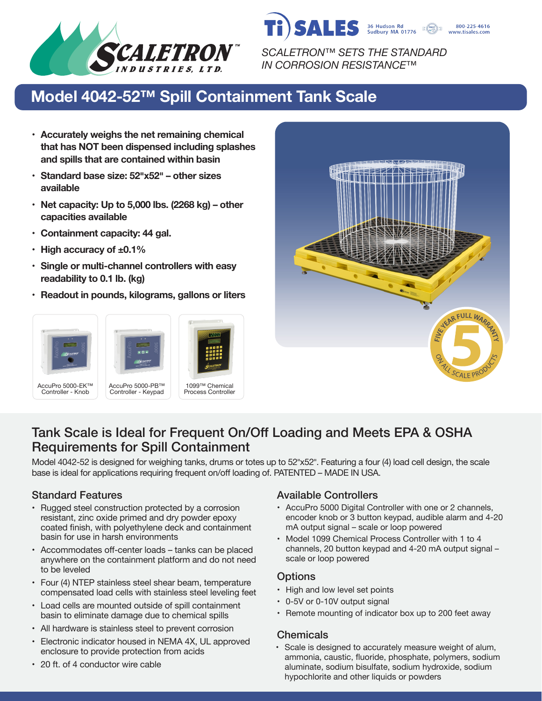

SALES 36 Hudson Rd<br>Sudbury MA 01776 800-225-4616 www.tisales.com

*SCALETRON™ SETS THE STANDARD IN CORROSION RESISTANCE™*

# **Model 4042-52™ Spill Containment Tank Scale**

- **• Accurately weighs the net remaining chemical that has NOT been dispensed including splashes and spills that are contained within basin**
- **• Standard base size: 52�x52� – other sizes available**
- **• Net capacity: Up to 5,000 lbs. (2268 kg) – other capacities available**
- **• Containment capacity: 44 gal.**
- **• High accuracy of ±0.1%**
- **• Single or multi-channel controllers with easy readability to 0.1 lb. (kg)**
- **• Readout in pounds, kilograms, gallons or liters**





## Tank Scale is Ideal for Frequent On/Off Loading and Meets EPA & OSHA Requirements for Spill Containment

Model 4042-52 is designed for weighing tanks, drums or totes up to 52"x52". Featuring a four (4) load cell design, the scale base is ideal for applications requiring frequent on/off loading of. PATENTED – MADE IN USA.

- Rugged steel construction protected by a corrosion resistant, zinc oxide primed and dry powder epoxy coated finish, with polyethylene deck and containment basin for use in harsh environments
- Accommodates off-center loads tanks can be placed anywhere on the containment platform and do not need to be leveled
- Four (4) NTEP stainless steel shear beam, temperature compensated load cells with stainless steel leveling feet
- Load cells are mounted outside of spill containment basin to eliminate damage due to chemical spills
- All hardware is stainless steel to prevent corrosion
- Electronic indicator housed in NEMA 4X, UL approved enclosure to provide protection from acids

#### • 20 ft. of 4 conductor wire cable

#### Standard Features **Available Controllers** Available Controllers

- AccuPro 5000 Digital Controller with one or 2 channels, encoder knob or 3 button keypad, audible alarm and 4-20 mA output signal – scale or loop powered
- Model 1099 Chemical Process Controller with 1 to 4 channels, 20 button keypad and 4-20 mA output signal – scale or loop powered

## **Options**

- High and low level set points
- 0-5V or 0-10V output signal
- Remote mounting of indicator box up to 200 feet away

## **Chemicals**

• Scale is designed to accurately measure weight of alum, ammonia, caustic, fluoride, phosphate, polymers, sodium aluminate, sodium bisulfate, sodium hydroxide, sodium hypochlorite and other liquids or powders